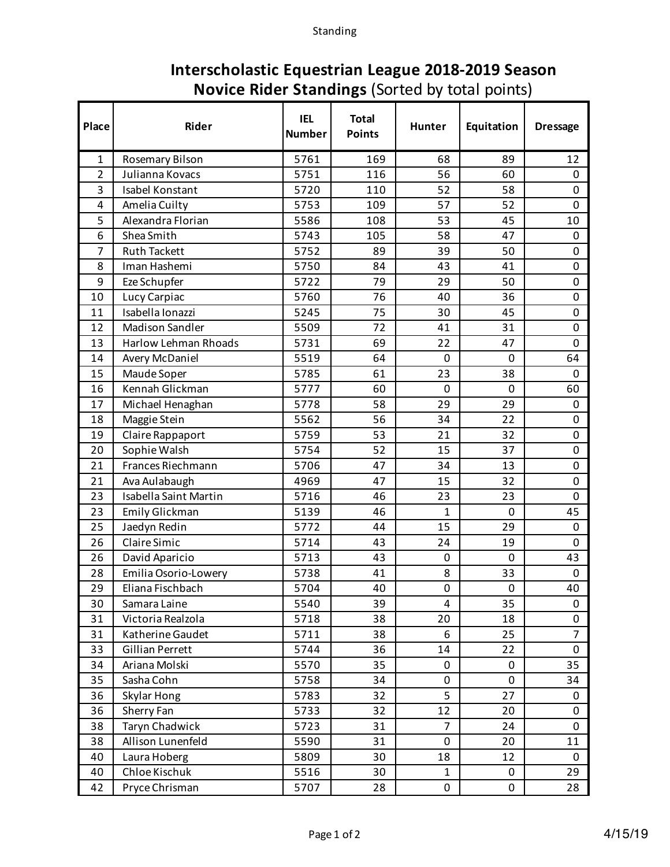## **Interscholastic Equestrian League 2018-2019 Season Novice Rider Standings** (Sorted by total points)

| Place          | Rider                        | <b>IEL</b><br><b>Number</b> | <b>Total</b><br><b>Points</b> | <b>Hunter</b>  | Equitation | <b>Dressage</b> |
|----------------|------------------------------|-----------------------------|-------------------------------|----------------|------------|-----------------|
| $\mathbf{1}$   | Rosemary Bilson              | 5761                        | 169                           | 68             | 89         | 12              |
| $\overline{2}$ | Julianna Kovacs              | 5751                        | 116                           | 56             | 60         | 0               |
| 3              | Isabel Konstant              | 5720                        | 110                           | 52             | 58         | 0               |
| 4              | Amelia Cuilty                | 5753                        | 109                           | 57             | 52         | $\mathbf 0$     |
| 5              | Alexandra Florian            | 5586                        | 108                           | 53             | 45         | 10              |
| 6              | Shea Smith                   | 5743                        | 105                           | 58             | 47         | $\pmb{0}$       |
| 7              | <b>Ruth Tackett</b>          | 5752                        | 89                            | 39             | 50         | $\mathbf 0$     |
| 8              | Iman Hashemi                 | 5750                        | 84                            | 43             | 41         | 0               |
| 9              | Eze Schupfer                 | 5722                        | 79                            | 29             | 50         | $\pmb{0}$       |
| 10             | Lucy Carpiac                 | 5760                        | 76                            | 40             | 36         | $\mathbf 0$     |
| 11             | Isabella Ionazzi             | 5245                        | 75                            | 30             | 45         | 0               |
| 12             | <b>Madison Sandler</b>       | 5509                        | 72                            | 41             | 31         | $\mathbf 0$     |
| 13             | <b>Harlow Lehman Rhoads</b>  | 5731                        | 69                            | 22             | 47         | $\mathbf 0$     |
| 14             | <b>Avery McDaniel</b>        | 5519                        | 64                            | 0              | 0          | 64              |
| 15             | Maude Soper                  | 5785                        | 61                            | 23             | 38         | 0               |
| 16             | Kennah Glickman              | 5777                        | 60                            | 0              | 0          | 60              |
| 17             | Michael Henaghan             | 5778                        | 58                            | 29             | 29         | 0               |
| 18             | Maggie Stein                 | 5562                        | 56                            | 34             | 22         | 0               |
| 19             | Claire Rappaport             | 5759                        | 53                            | 21             | 32         | $\mathbf 0$     |
| 20             | Sophie Walsh                 | 5754                        | 52                            | 15             | 37         | 0               |
| 21             | Frances Riechmann            | 5706                        | 47                            | 34             | 13         | 0               |
| 21             | Ava Aulabaugh                | 4969                        | 47                            | 15             | 32         | $\mathbf 0$     |
| 23             | <b>Isabella Saint Martin</b> | 5716                        | 46                            | 23             | 23         | $\mathbf 0$     |
| 23             | Emily Glickman               | 5139                        | 46                            | $\mathbf{1}$   | 0          | 45              |
| 25             | Jaedyn Redin                 | 5772                        | 44                            | 15             | 29         | $\mathbf 0$     |
| 26             | Claire Simic                 | 5714                        | 43                            | 24             | 19         | 0               |
| 26             | David Aparicio               | 5713                        | 43                            | 0              | 0          | 43              |
| 28             | Emilia Osorio-Lowery         | 5738                        | 41                            | 8              | 33         | $\mathbf 0$     |
| 29             | Eliana Fischbach             | 5704                        | 40                            | 0              | 0          | 40              |
| 30             | Samara Laine                 | 5540                        | 39                            | 4              | 35         | 0               |
| 31             | Victoria Realzola            | 5718                        | 38                            | 20             | 18         | 0               |
| 31             | Katherine Gaudet             | 5711                        | 38                            | 6              | 25         | $\overline{7}$  |
| 33             | <b>Gillian Perrett</b>       | 5744                        | 36                            | 14             | 22         | 0               |
| 34             | Ariana Molski                | 5570                        | 35                            | 0              | 0          | 35              |
| 35             | Sasha Cohn                   | 5758                        | 34                            | 0              | 0          | 34              |
| 36             | Skylar Hong                  | 5783                        | 32                            | 5              | 27         | 0               |
| 36             | Sherry Fan                   | 5733                        | 32                            | 12             | 20         | 0               |
| 38             | Taryn Chadwick               | 5723                        | 31                            | $\overline{7}$ | 24         | 0               |
| 38             | Allison Lunenfeld            | 5590                        | 31                            | $\mathbf 0$    | 20         | 11              |
| 40             | Laura Hoberg                 | 5809                        | 30                            | 18             | 12         | 0               |
| 40             | Chloe Kischuk                | 5516                        | 30                            | 1              | 0          | 29              |
| 42             | Pryce Chrisman               | 5707                        | 28                            | 0              | 0          | 28              |